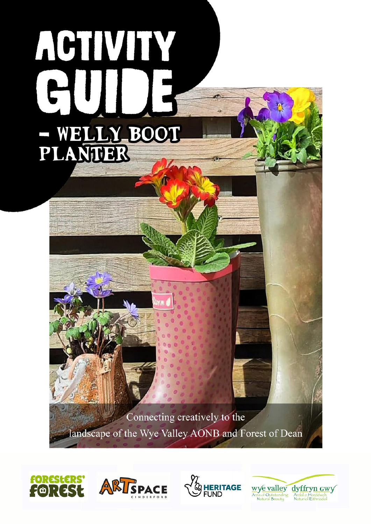# ACTIVITY - WELLY BOOT<br>PLANTER

Connecting creatively to the landscape of the Wye Valley AONB and Forest of Dean







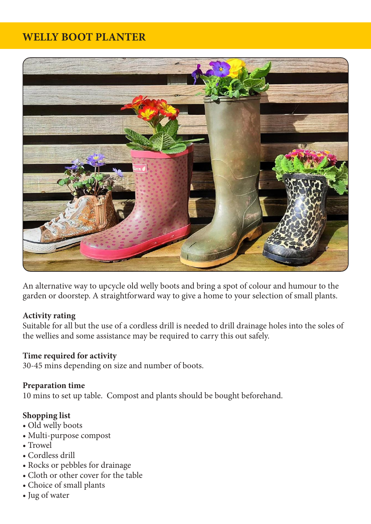# **WELLY BOOT PLANTER**



An alternative way to upcycle old welly boots and bring a spot of colour and humour to the garden or doorstep. A straightforward way to give a home to your selection of small plants.

#### **Activity rating**

Suitable for all but the use of a cordless drill is needed to drill drainage holes into the soles of the wellies and some assistance may be required to carry this out safely.

#### **Time required for activity**

30-45 mins depending on size and number of boots.

#### **Preparation time**

10 mins to set up table. Compost and plants should be bought beforehand.

#### **Shopping list**

- Old welly boots
- Multi-purpose compost
- Trowel
- Cordless drill
- Rocks or pebbles for drainage
- Cloth or other cover for the table
- Choice of small plants
- Jug of water